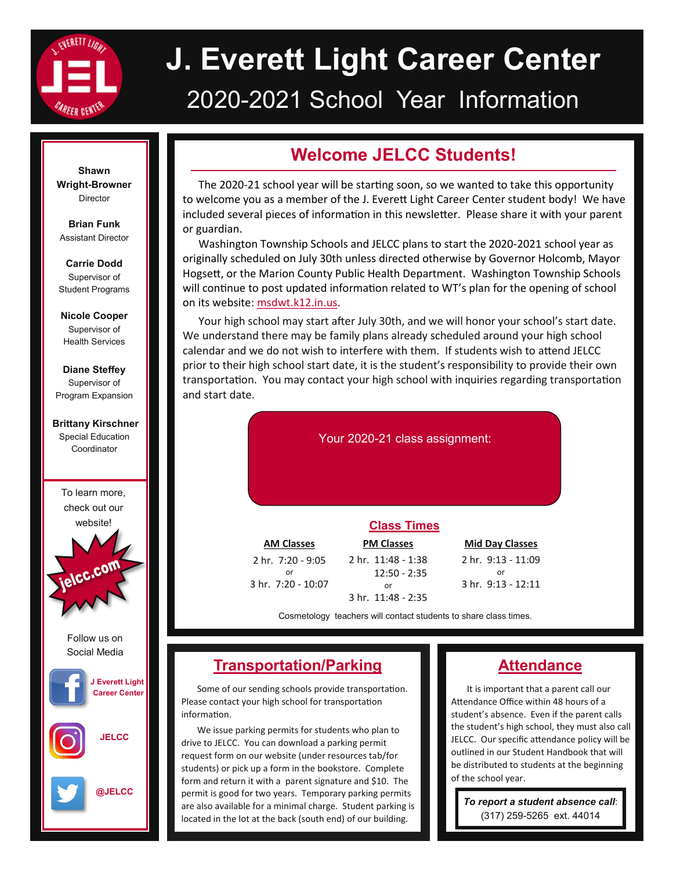

# **J. Everett Light Career Center** 2020-2021 School Year Information

#### **Shawn Wright-Browner** Director

**Brian Funk** Assistant Director

**Carrie Dodd** Supervisor of Student Programs

**Nicole Cooper**  Supervisor of Health Services

**Diane Steffey** Supervisor of Program Expansion

#### **Brittany Kirschner** Special Education Coordinator

To learn more, check out our website!



Follow us on Social Media



**JELCC**



**Welcome JELCC Students!**

The 2020-21 school year will be startng soon, so we wanted to take this opportunity to welcome you as a member of the J. Everett Light Career Center student body! We have included several pieces of informaton in this newsleter. Please share it with your parent or guardian.

Washington Township Schools and JELCC plans to start the 2020-2021 school year as originally scheduled on July 30th unless directed otherwise by Governor Holcomb, Mayor Hogsett, or the Marion County Public Health Department. Washington Township Schools will continue to post updated information related to WT's plan for the opening of school on its website: msdwt.k12.in.us.

Your high school may start after July 30th, and we will honor your school's start date. We understand there may be family plans already scheduled around your high school calendar and we do not wish to interfere with them. If students wish to atend JELCC prior to their high school start date, it is the student's responsibility to provide their own transportaton. You may contact your high school with inquiries regarding transportaton and start date.

Your 2020-21 class assignment:

| <b>AM Classes</b>        |
|--------------------------|
| 2 hr. 7:20 - 9:05        |
| or<br>3 hr. 7:20 - 10:07 |

**PM Classes** 2 hr. 11:48 - 1:38 **Class Times**

**Mid Day Classes**  2 hr. 9:13 - 11:09 or 3 hr. 9:13 - 12:11

Cosmetology teachers will contact students to share class times.

 12:50 - 2:35 or 3 hr. 11:48 - 2:35

# **Transportation/Parking**

Some of our sending schools provide transportation. Please contact your high school for transportation information.

We issue parking permits for students who plan to drive to JELCC. You can download a parking permit request form on our website (under resources tab/for students) or pick up a form in the bookstore. Complete form and return it with a parent signature and \$10. The permit is good for two years. Temporary parking permits are also available for a minimal charge. Student parking is located in the lot at the back (south end) of our building.

# **Attendance**

It is important that a parent call our Attendance Office within 48 hours of a student's absence. Even if the parent calls the student's high school, they must also call JELCC. Our specific attendance policy will be outlined in our Student Handbook that will be distributed to students at the beginning of the school year.

*To report a student absence call*: (317) 259-5265 ext. 44014